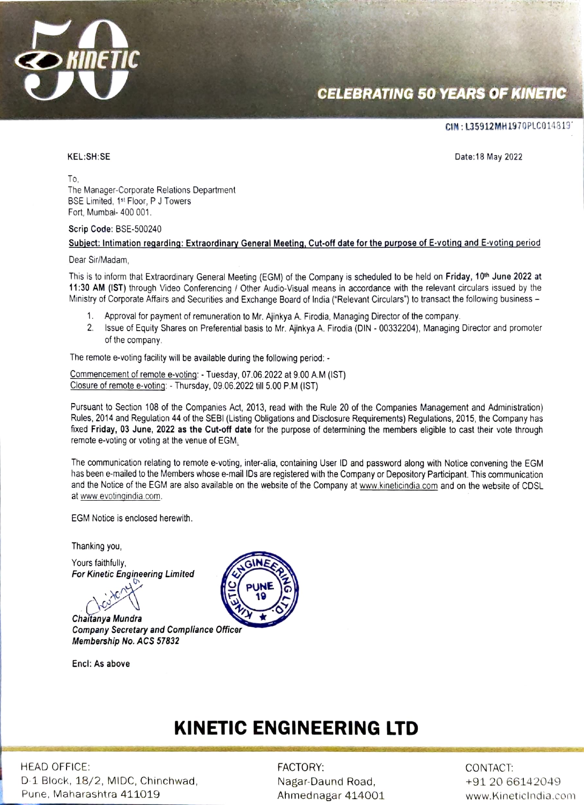

# **CELEBRATING 50 YEARS OF KINETIC**

#### CIN: L35912MH1970PLCO14819

KEL:SH:SE Date:18 May 2022

To, The Manager-Corporate Relations Department BSE Limited, 1st Floor, P J Towers Fort, Mumbai- 400 001.

#### Scrip Code: BSE-500240

#### Subject: Intimation regarding: Extraordinary General Meeting, Cut-off date for the purpose of E-voting and E-voting period

#### Dear Sir/Madam,

This is to inform that Extraordinary General Meeting (EGM) of the Company is scheduled to be held on Friday, 10<sup>th</sup> June 2022 at 11:30 AM (IST) through Video Conferencing/ Other Audio-Visual means in accordance with the relevant circulars issued by the Ministry of Corporate Affairs and Securities and Exchange Board of India ("Relevant Circulars") to transact the following business -

- Approval for payment of remuneration to Mr. Ajinkya A. Firodia, Managing Director of the company.
- 2. Issue of Equity Shares on Preferential basis to Mr. Ajinkya A. Firodia (DIN 00332204), Managing Director and promoter of the company

The remote e-voting facility will be available during the following period: -

Commencement of remote e-voting: - Tuesday, 07.06.2022 at 9.00 A.M (IST) Closure of remote e-voting: Thursday, 09.06.2022 til 5.00 P.M (IST)

Pursuant to Section 108 of the Companies Act, 2013, read with the Rule 20 of the Companies Management and Administration) Rules, 2014 and Regulation 44 of the SEBI (Listing Obligations and Disclosure Requirements) Regulations, 2015, the Company has fixed Friday, 03 June, 2022 as the Cut-off date for the purpose of determining the members eligible to cast their vote through remote e-voting or voting at the venue of EGM.

The communication relating to remote e-voting, inter-alia, containing User ID and password along with Notice convening the EGM has been e-mailed to the Members whose e-mail IDs are registered with the Company or Depository Participant. This communication and the Notice of the EGM are also available on the website of the Company at www.kinelicindia.com and on the website of CDSL at www.evotingindia.com.

EGM Notice is enclosed herewith.

Thanking y0u,

Yours faithfully, For Kinetic Engineering Limited

Chaitanya Mundra Company Secretary and Compliance Officer Membership No. ACS 57832

Encl: As above



# KINETIC ENGINEERING LTD

HEAD OFFICE: FACTORY: CONTACT: D-1 Block, 18/2, MIDC, Chinchwad, Nagar-Daund Road, Pune, Maharashtra 411019 eta alternatura eta alternatura alternatura eta alternatura eta alternatura eta altern

Ahmednagar 414001

+91 20 66142049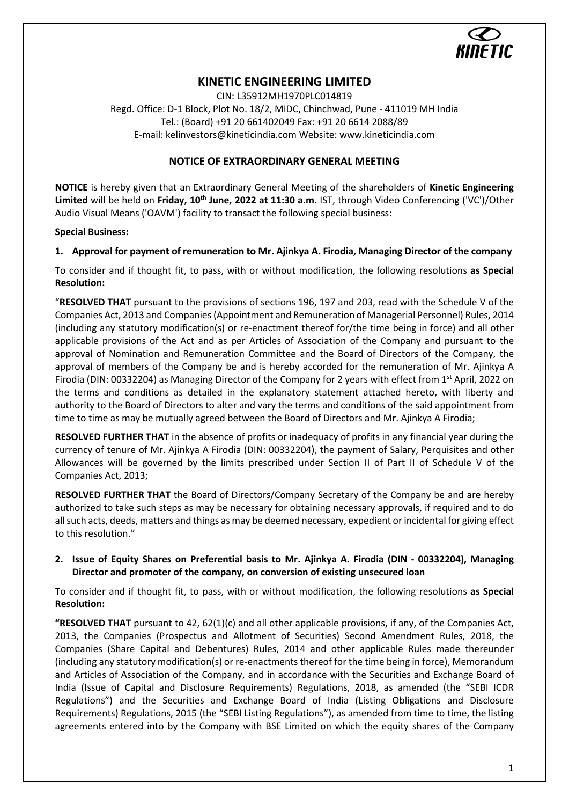

# **KINETIC ENGINEERING LIMITED**

CIN: L35912MH1970PLC014819 Regd. Office: D-1 Block, Plot No. 18/2, MIDC, Chinchwad, Pune - 411019 MH India Tel.: (Board) +91 20 661402049 Fax: +91 20 6614 2088/89 E-mail: kelinvestors@kineticindia.com Website: www.kineticindia.com

# **NOTICE OF EXTRAORDINARY GENERAL MEETING**

**NOTICE** is hereby given that an Extraordinary General Meeting of the shareholders of **Kinetic Engineering Limited** will be held on **Friday, 10th June, 2022 at 11:30 a.m**. IST, through Video Conferencing ('VC')/Other Audio Visual Means ('OAVM') facility to transact the following special business:

#### **Special Business:**

# **1. Approval for payment of remuneration to Mr. Ajinkya A. Firodia, Managing Director of the company**

To consider and if thought fit, to pass, with or without modification, the following resolutions **as Special Resolution:**

"**RESOLVED THAT** pursuant to the provisions of sections 196, 197 and 203, read with the Schedule V of the Companies Act, 2013 and Companies (Appointment and Remuneration of Managerial Personnel) Rules, 2014 (including any statutory modification(s) or re-enactment thereof for/the time being in force) and all other applicable provisions of the Act and as per Articles of Association of the Company and pursuant to the approval of Nomination and Remuneration Committee and the Board of Directors of the Company, the approval of members of the Company be and is hereby accorded for the remuneration of Mr. Ajinkya A Firodia (DIN: 00332204) as Managing Director of the Company for 2 years with effect from 1<sup>st</sup> April, 2022 on the terms and conditions as detailed in the explanatory statement attached hereto, with liberty and authority to the Board of Directors to alter and vary the terms and conditions of the said appointment from time to time as may be mutually agreed between the Board of Directors and Mr. Ajinkya A Firodia;

**RESOLVED FURTHER THAT** in the absence of profits or inadequacy of profits in any financial year during the currency of tenure of Mr. Ajinkya A Firodia (DIN: 00332204), the payment of Salary, Perquisites and other Allowances will be governed by the limits prescribed under Section II of Part II of Schedule V of the Companies Act, 2013;

**RESOLVED FURTHER THAT** the Board of Directors/Company Secretary of the Company be and are hereby authorized to take such steps as may be necessary for obtaining necessary approvals, if required and to do all such acts, deeds, matters and things as may be deemed necessary, expedient or incidental for giving effect to this resolution."

# **2. Issue of Equity Shares on Preferential basis to Mr. Ajinkya A. Firodia (DIN - 00332204), Managing Director and promoter of the company, on conversion of existing unsecured loan**

To consider and if thought fit, to pass, with or without modification, the following resolutions **as Special Resolution:**

**"RESOLVED THAT** pursuant to 42, 62(1)(c) and all other applicable provisions, if any, of the Companies Act, 2013, the Companies (Prospectus and Allotment of Securities) Second Amendment Rules, 2018, the Companies (Share Capital and Debentures) Rules, 2014 and other applicable Rules made thereunder (including any statutory modification(s) or re-enactments thereof for the time being in force), Memorandum and Articles of Association of the Company, and in accordance with the Securities and Exchange Board of India (Issue of Capital and Disclosure Requirements) Regulations, 2018, as amended (the "SEBI ICDR Regulations") and the Securities and Exchange Board of India (Listing Obligations and Disclosure Requirements) Regulations, 2015 (the "SEBI Listing Regulations"), as amended from time to time, the listing agreements entered into by the Company with BSE Limited on which the equity shares of the Company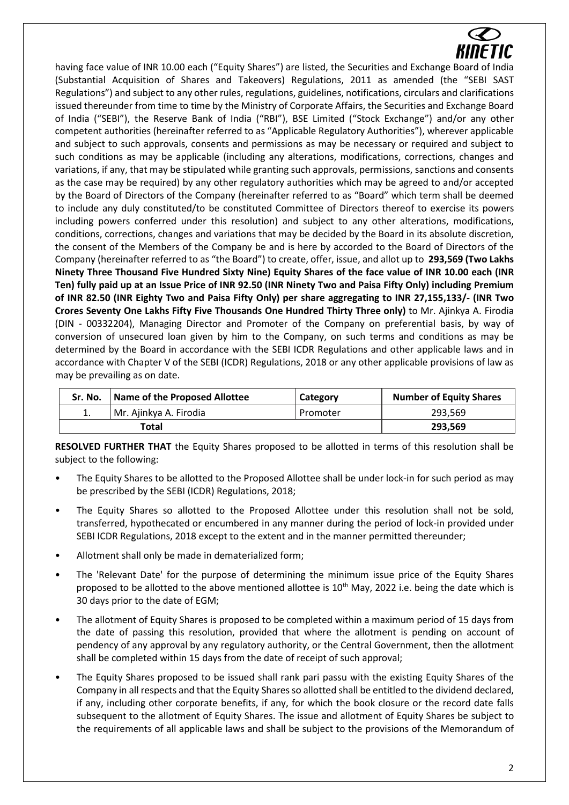

having face value of INR 10.00 each ("Equity Shares") are listed, the Securities and Exchange Board of India (Substantial Acquisition of Shares and Takeovers) Regulations, 2011 as amended (the "SEBI SAST Regulations") and subject to any other rules, regulations, guidelines, notifications, circulars and clarifications issued thereunder from time to time by the Ministry of Corporate Affairs, the Securities and Exchange Board of India ("SEBI"), the Reserve Bank of India ("RBI"), BSE Limited ("Stock Exchange") and/or any other competent authorities (hereinafter referred to as "Applicable Regulatory Authorities"), wherever applicable and subject to such approvals, consents and permissions as may be necessary or required and subject to such conditions as may be applicable (including any alterations, modifications, corrections, changes and variations, if any, that may be stipulated while granting such approvals, permissions, sanctions and consents as the case may be required) by any other regulatory authorities which may be agreed to and/or accepted by the Board of Directors of the Company (hereinafter referred to as "Board" which term shall be deemed to include any duly constituted/to be constituted Committee of Directors thereof to exercise its powers including powers conferred under this resolution) and subject to any other alterations, modifications, conditions, corrections, changes and variations that may be decided by the Board in its absolute discretion, the consent of the Members of the Company be and is here by accorded to the Board of Directors of the Company (hereinafter referred to as "the Board") to create, offer, issue, and allot up to **293,569 (Two Lakhs Ninety Three Thousand Five Hundred Sixty Nine) Equity Shares of the face value of INR 10.00 each (INR Ten) fully paid up at an Issue Price of INR 92.50 (INR Ninety Two and Paisa Fifty Only) including Premium of INR 82.50 (INR Eighty Two and Paisa Fifty Only) per share aggregating to INR 27,155,133/- (INR Two Crores Seventy One Lakhs Fifty Five Thousands One Hundred Thirty Three only)** to Mr. Ajinkya A. Firodia (DIN - 00332204), Managing Director and Promoter of the Company on preferential basis, by way of conversion of unsecured loan given by him to the Company, on such terms and conditions as may be determined by the Board in accordance with the SEBI ICDR Regulations and other applicable laws and in accordance with Chapter V of the SEBI (ICDR) Regulations, 2018 or any other applicable provisions of law as may be prevailing as on date.

| Sr. No. | Name of the Proposed Allottee | Category | <b>Number of Equity Shares</b> |
|---------|-------------------------------|----------|--------------------------------|
| 1.      | Mr. Ajinkya A. Firodia        | Promoter | 293.569                        |
|         | Total                         |          | 293.569                        |

**RESOLVED FURTHER THAT** the Equity Shares proposed to be allotted in terms of this resolution shall be subject to the following:

- The Equity Shares to be allotted to the Proposed Allottee shall be under lock-in for such period as may be prescribed by the SEBI (ICDR) Regulations, 2018;
- The Equity Shares so allotted to the Proposed Allottee under this resolution shall not be sold, transferred, hypothecated or encumbered in any manner during the period of lock-in provided under SEBI ICDR Regulations, 2018 except to the extent and in the manner permitted thereunder;
- Allotment shall only be made in dematerialized form;
- The 'Relevant Date' for the purpose of determining the minimum issue price of the Equity Shares proposed to be allotted to the above mentioned allottee is  $10^{th}$  May, 2022 i.e. being the date which is 30 days prior to the date of EGM;
- The allotment of Equity Shares is proposed to be completed within a maximum period of 15 days from the date of passing this resolution, provided that where the allotment is pending on account of pendency of any approval by any regulatory authority, or the Central Government, then the allotment shall be completed within 15 days from the date of receipt of such approval;
- The Equity Shares proposed to be issued shall rank pari passu with the existing Equity Shares of the Company in all respects and that the Equity Shares so allotted shall be entitled to the dividend declared, if any, including other corporate benefits, if any, for which the book closure or the record date falls subsequent to the allotment of Equity Shares. The issue and allotment of Equity Shares be subject to the requirements of all applicable laws and shall be subject to the provisions of the Memorandum of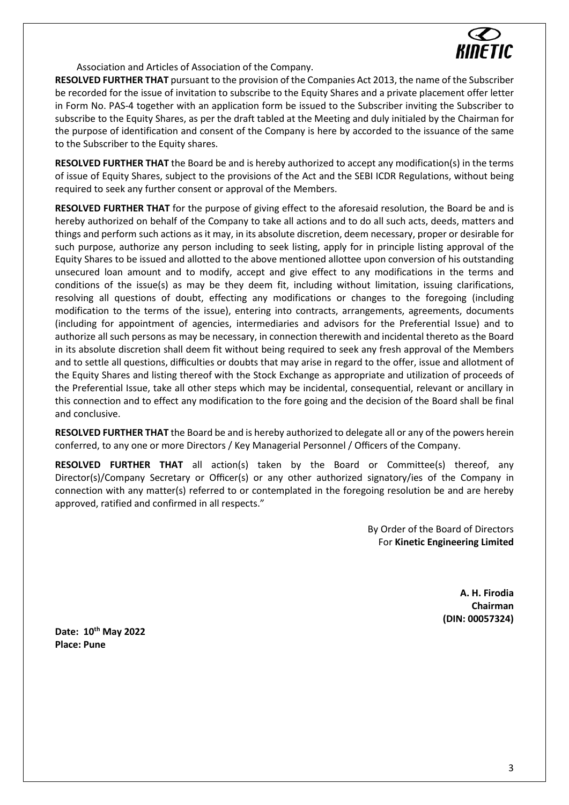

Association and Articles of Association of the Company.

**RESOLVED FURTHER THAT** pursuant to the provision of the Companies Act 2013, the name of the Subscriber be recorded for the issue of invitation to subscribe to the Equity Shares and a private placement offer letter in Form No. PAS-4 together with an application form be issued to the Subscriber inviting the Subscriber to subscribe to the Equity Shares, as per the draft tabled at the Meeting and duly initialed by the Chairman for the purpose of identification and consent of the Company is here by accorded to the issuance of the same to the Subscriber to the Equity shares.

**RESOLVED FURTHER THAT** the Board be and is hereby authorized to accept any modification(s) in the terms of issue of Equity Shares, subject to the provisions of the Act and the SEBI ICDR Regulations, without being required to seek any further consent or approval of the Members.

**RESOLVED FURTHER THAT** for the purpose of giving effect to the aforesaid resolution, the Board be and is hereby authorized on behalf of the Company to take all actions and to do all such acts, deeds, matters and things and perform such actions as it may, in its absolute discretion, deem necessary, proper or desirable for such purpose, authorize any person including to seek listing, apply for in principle listing approval of the Equity Shares to be issued and allotted to the above mentioned allottee upon conversion of his outstanding unsecured loan amount and to modify, accept and give effect to any modifications in the terms and conditions of the issue(s) as may be they deem fit, including without limitation, issuing clarifications, resolving all questions of doubt, effecting any modifications or changes to the foregoing (including modification to the terms of the issue), entering into contracts, arrangements, agreements, documents (including for appointment of agencies, intermediaries and advisors for the Preferential Issue) and to authorize all such persons as may be necessary, in connection therewith and incidental thereto as the Board in its absolute discretion shall deem fit without being required to seek any fresh approval of the Members and to settle all questions, difficulties or doubts that may arise in regard to the offer, issue and allotment of the Equity Shares and listing thereof with the Stock Exchange as appropriate and utilization of proceeds of the Preferential Issue, take all other steps which may be incidental, consequential, relevant or ancillary in this connection and to effect any modification to the fore going and the decision of the Board shall be final and conclusive.

**RESOLVED FURTHER THAT** the Board be and is hereby authorized to delegate all or any of the powers herein conferred, to any one or more Directors / Key Managerial Personnel / Officers of the Company.

**RESOLVED FURTHER THAT** all action(s) taken by the Board or Committee(s) thereof, any Director(s)/Company Secretary or Officer(s) or any other authorized signatory/ies of the Company in connection with any matter(s) referred to or contemplated in the foregoing resolution be and are hereby approved, ratified and confirmed in all respects."

> By Order of the Board of Directors For **Kinetic Engineering Limited**

> > **A. H. Firodia Chairman (DIN: 00057324)**

**Date: 10th May 2022 Place: Pune**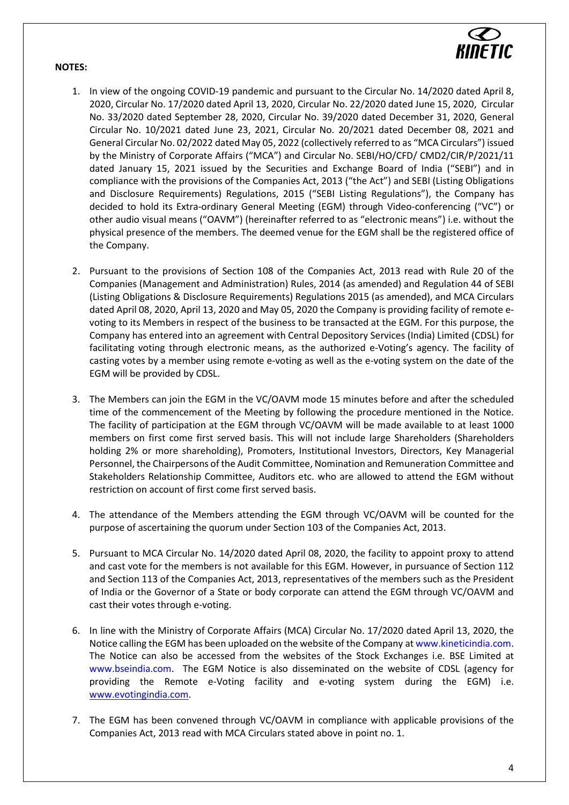#### **NOTES:**



- 1. In view of the ongoing COVID-19 pandemic and pursuant to the Circular No. 14/2020 dated April 8, 2020, Circular No. 17/2020 dated April 13, 2020, Circular No. 22/2020 dated June 15, 2020, Circular No. 33/2020 dated September 28, 2020, Circular No. 39/2020 dated December 31, 2020, General Circular No. 10/2021 dated June 23, 2021, Circular No. 20/2021 dated December 08, 2021 and General Circular No. 02/2022 dated May 05, 2022 (collectively referred to as "MCA Circulars") issued by the Ministry of Corporate Affairs ("MCA") and Circular No. SEBI/HO/CFD/ CMD2/CIR/P/2021/11 dated January 15, 2021 issued by the Securities and Exchange Board of India ("SEBI") and in compliance with the provisions of the Companies Act, 2013 ("the Act") and SEBI (Listing Obligations and Disclosure Requirements) Regulations, 2015 ("SEBI Listing Regulations"), the Company has decided to hold its Extra-ordinary General Meeting (EGM) through Video-conferencing ("VC") or other audio visual means ("OAVM") (hereinafter referred to as "electronic means") i.e. without the physical presence of the members. The deemed venue for the EGM shall be the registered office of the Company.
- 2. Pursuant to the provisions of Section 108 of the Companies Act, 2013 read with Rule 20 of the Companies (Management and Administration) Rules, 2014 (as amended) and Regulation 44 of SEBI (Listing Obligations & Disclosure Requirements) Regulations 2015 (as amended), and MCA Circulars dated April 08, 2020, April 13, 2020 and May 05, 2020 the Company is providing facility of remote evoting to its Members in respect of the business to be transacted at the EGM. For this purpose, the Company has entered into an agreement with Central Depository Services (India) Limited (CDSL) for facilitating voting through electronic means, as the authorized e-Voting's agency. The facility of casting votes by a member using remote e-voting as well as the e-voting system on the date of the EGM will be provided by CDSL.
- 3. The Members can join the EGM in the VC/OAVM mode 15 minutes before and after the scheduled time of the commencement of the Meeting by following the procedure mentioned in the Notice. The facility of participation at the EGM through VC/OAVM will be made available to at least 1000 members on first come first served basis. This will not include large Shareholders (Shareholders holding 2% or more shareholding), Promoters, Institutional Investors, Directors, Key Managerial Personnel, the Chairpersons of the Audit Committee, Nomination and Remuneration Committee and Stakeholders Relationship Committee, Auditors etc. who are allowed to attend the EGM without restriction on account of first come first served basis.
- 4. The attendance of the Members attending the EGM through VC/OAVM will be counted for the purpose of ascertaining the quorum under Section 103 of the Companies Act, 2013.
- 5. Pursuant to MCA Circular No. 14/2020 dated April 08, 2020, the facility to appoint proxy to attend and cast vote for the members is not available for this EGM. However, in pursuance of Section 112 and Section 113 of the Companies Act, 2013, representatives of the members such as the President of India or the Governor of a State or body corporate can attend the EGM through VC/OAVM and cast their votes through e-voting.
- 6. In line with the Ministry of Corporate Affairs (MCA) Circular No. 17/2020 dated April 13, 2020, the Notice calling the EGM has been uploaded on the website of the Company at www.kineticindia.com. The Notice can also be accessed from the websites of the Stock Exchanges i.e. BSE Limited at www.bseindia.com. The EGM Notice is also disseminated on the website of CDSL (agency for providing the Remote e-Voting facility and e-voting system during the EGM) i.e. [www.evotingindia.com.](http://www.evotingindia.com/)
- 7. The EGM has been convened through VC/OAVM in compliance with applicable provisions of the Companies Act, 2013 read with MCA Circulars stated above in point no. 1.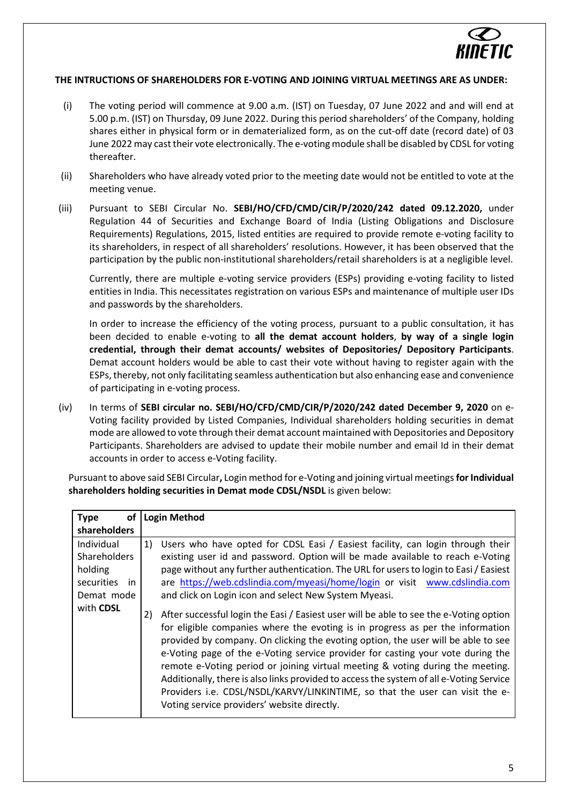

# **THE INTRUCTIONS OF SHAREHOLDERS FOR E-VOTING AND JOINING VIRTUAL MEETINGS ARE AS UNDER:**

- (i) The voting period will commence at 9.00 a.m. (IST) on Tuesday, 07 June 2022 and and will end at 5.00 p.m. (IST) on Thursday, 09 June 2022. During this period shareholders' of the Company, holding shares either in physical form or in dematerialized form, as on the cut-off date (record date) of 03 June 2022 may cast their vote electronically. The e-voting module shall be disabled by CDSL for voting thereafter.
- (ii) Shareholders who have already voted prior to the meeting date would not be entitled to vote at the meeting venue.
- (iii) Pursuant to SEBI Circular No. **SEBI/HO/CFD/CMD/CIR/P/2020/242 dated 09.12.2020,** under Regulation 44 of Securities and Exchange Board of India (Listing Obligations and Disclosure Requirements) Regulations, 2015, listed entities are required to provide remote e-voting facility to its shareholders, in respect of all shareholders' resolutions. However, it has been observed that the participation by the public non-institutional shareholders/retail shareholders is at a negligible level.

Currently, there are multiple e-voting service providers (ESPs) providing e-voting facility to listed entities in India. This necessitates registration on various ESPs and maintenance of multiple user IDs and passwords by the shareholders.

In order to increase the efficiency of the voting process, pursuant to a public consultation, it has been decided to enable e-voting to **all the demat account holders**, **by way of a single login credential, through their demat accounts/ websites of Depositories/ Depository Participants**. Demat account holders would be able to cast their vote without having to register again with the ESPs, thereby, not only facilitating seamless authentication but also enhancing ease and convenience of participating in e-voting process.

(iv) In terms of **SEBI circular no. SEBI/HO/CFD/CMD/CIR/P/2020/242 dated December 9, 2020** on e-Voting facility provided by Listed Companies, Individual shareholders holding securities in demat mode are allowed to vote through their demat account maintained with Depositories and Depository Participants. Shareholders are advised to update their mobile number and email Id in their demat accounts in order to access e-Voting facility.

Pursuant to above said SEBI Circular**,** Login method for e-Voting and joining virtual meetings **for Individual shareholders holding securities in Demat mode CDSL/NSDL** is given below:

| shareholders                                                                                                                                                                                                                                                                                                                                                                                                                                                                                                                                                                                                                                                                                                                                                                                                                                                                                                                                                                                                                                                                                                                                                                 |
|------------------------------------------------------------------------------------------------------------------------------------------------------------------------------------------------------------------------------------------------------------------------------------------------------------------------------------------------------------------------------------------------------------------------------------------------------------------------------------------------------------------------------------------------------------------------------------------------------------------------------------------------------------------------------------------------------------------------------------------------------------------------------------------------------------------------------------------------------------------------------------------------------------------------------------------------------------------------------------------------------------------------------------------------------------------------------------------------------------------------------------------------------------------------------|
|                                                                                                                                                                                                                                                                                                                                                                                                                                                                                                                                                                                                                                                                                                                                                                                                                                                                                                                                                                                                                                                                                                                                                                              |
| Individual<br>Users who have opted for CDSL Easi / Easiest facility, can login through their<br>1)<br>existing user id and password. Option will be made available to reach e-Voting<br><b>Shareholders</b><br>page without any further authentication. The URL for users to login to Easi / Easiest<br>holding<br>are https://web.cdslindia.com/myeasi/home/login or visit www.cdslindia.com<br>securities<br>in.<br>and click on Login icon and select New System Myeasi.<br>Demat mode<br>with CDSL<br>After successful login the Easi / Easiest user will be able to see the e-Voting option<br>2)<br>for eligible companies where the evoting is in progress as per the information<br>provided by company. On clicking the evoting option, the user will be able to see<br>e-Voting page of the e-Voting service provider for casting your vote during the<br>remote e-Voting period or joining virtual meeting & voting during the meeting.<br>Additionally, there is also links provided to access the system of all e-Voting Service<br>Providers i.e. CDSL/NSDL/KARVY/LINKINTIME, so that the user can visit the e-<br>Voting service providers' website directly. |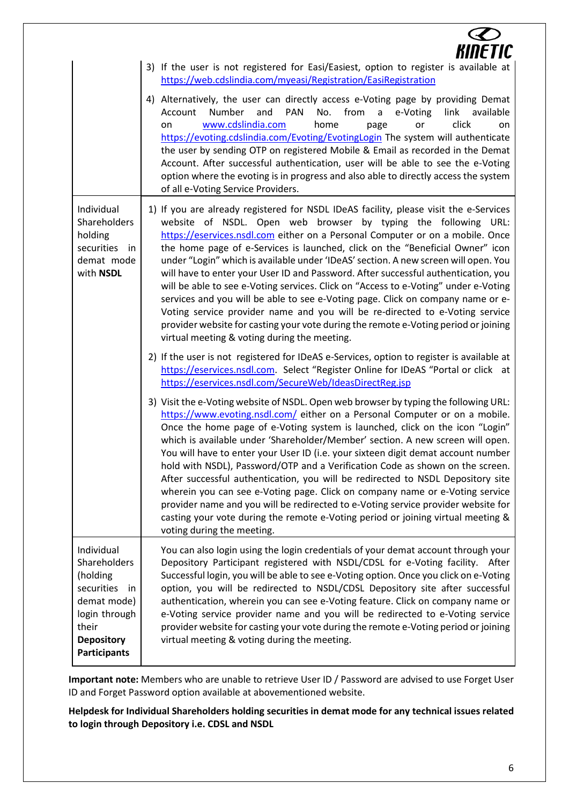|                                                                                                                                                   | KINETIC                                                                                                                                                                                                                                                                                                                                                                                                                                                                                                                                                                                                                                                                                                                                                                                                                                                                                                 |
|---------------------------------------------------------------------------------------------------------------------------------------------------|---------------------------------------------------------------------------------------------------------------------------------------------------------------------------------------------------------------------------------------------------------------------------------------------------------------------------------------------------------------------------------------------------------------------------------------------------------------------------------------------------------------------------------------------------------------------------------------------------------------------------------------------------------------------------------------------------------------------------------------------------------------------------------------------------------------------------------------------------------------------------------------------------------|
|                                                                                                                                                   | 3) If the user is not registered for Easi/Easiest, option to register is available at<br>https://web.cdslindia.com/myeasi/Registration/EasiRegistration                                                                                                                                                                                                                                                                                                                                                                                                                                                                                                                                                                                                                                                                                                                                                 |
|                                                                                                                                                   | 4) Alternatively, the user can directly access e-Voting page by providing Demat<br>from<br>Number<br>and<br><b>PAN</b><br>No.<br>e-Voting<br>link<br>a<br>available<br>Account<br>www.cdslindia.com<br>home<br>click<br>or<br>on<br>page<br>on<br>https://evoting.cdslindia.com/Evoting/EvotingLogin The system will authenticate<br>the user by sending OTP on registered Mobile & Email as recorded in the Demat<br>Account. After successful authentication, user will be able to see the e-Voting<br>option where the evoting is in progress and also able to directly access the system<br>of all e-Voting Service Providers.                                                                                                                                                                                                                                                                      |
| Individual<br>Shareholders<br>holding<br>securities in<br>demat mode<br>with NSDL                                                                 | 1) If you are already registered for NSDL IDeAS facility, please visit the e-Services<br>website of NSDL. Open web browser by typing the following URL:<br>https://eservices.nsdl.com either on a Personal Computer or on a mobile. Once<br>the home page of e-Services is launched, click on the "Beneficial Owner" icon<br>under "Login" which is available under 'IDeAS' section. A new screen will open. You<br>will have to enter your User ID and Password. After successful authentication, you<br>will be able to see e-Voting services. Click on "Access to e-Voting" under e-Voting<br>services and you will be able to see e-Voting page. Click on company name or e-<br>Voting service provider name and you will be re-directed to e-Voting service<br>provider website for casting your vote during the remote e-Voting period or joining<br>virtual meeting & voting during the meeting. |
|                                                                                                                                                   | 2) If the user is not registered for IDeAS e-Services, option to register is available at<br>https://eservices.nsdl.com. Select "Register Online for IDeAS "Portal or click at<br>https://eservices.nsdl.com/SecureWeb/IdeasDirectReg.jsp                                                                                                                                                                                                                                                                                                                                                                                                                                                                                                                                                                                                                                                               |
|                                                                                                                                                   | 3) Visit the e-Voting website of NSDL. Open web browser by typing the following URL:<br>https://www.evoting.nsdl.com/ either on a Personal Computer or on a mobile.<br>Once the home page of e-Voting system is launched, click on the icon "Login"<br>which is available under 'Shareholder/Member' section. A new screen will open.<br>You will have to enter your User ID (i.e. your sixteen digit demat account number<br>hold with NSDL), Password/OTP and a Verification Code as shown on the screen.<br>After successful authentication, you will be redirected to NSDL Depository site<br>wherein you can see e-Voting page. Click on company name or e-Voting service<br>provider name and you will be redirected to e-Voting service provider website for<br>casting your vote during the remote e-Voting period or joining virtual meeting &<br>voting during the meeting.                   |
| Individual<br>Shareholders<br>(holding<br>securities<br>- in<br>demat mode)<br>login through<br>their<br><b>Depository</b><br><b>Participants</b> | You can also login using the login credentials of your demat account through your<br>Depository Participant registered with NSDL/CDSL for e-Voting facility. After<br>Successful login, you will be able to see e-Voting option. Once you click on e-Voting<br>option, you will be redirected to NSDL/CDSL Depository site after successful<br>authentication, wherein you can see e-Voting feature. Click on company name or<br>e-Voting service provider name and you will be redirected to e-Voting service<br>provider website for casting your vote during the remote e-Voting period or joining<br>virtual meeting & voting during the meeting.                                                                                                                                                                                                                                                   |

**Important note:** Members who are unable to retrieve User ID / Password are advised to use Forget User ID and Forget Password option available at abovementioned website.

**Helpdesk for Individual Shareholders holding securities in demat mode for any technical issues related to login through Depository i.e. CDSL and NSDL**

 $\epsilon$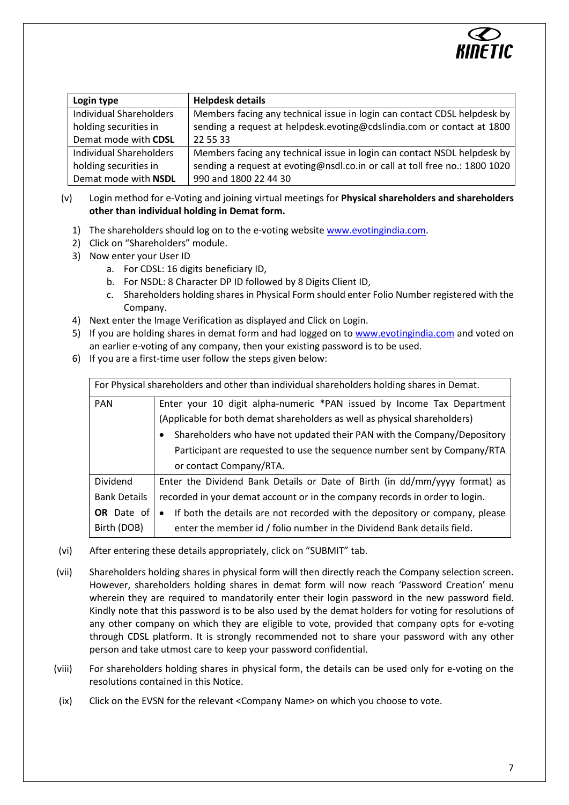

| Login type                     | <b>Helpdesk details</b>                                                     |
|--------------------------------|-----------------------------------------------------------------------------|
| <b>Individual Shareholders</b> | Members facing any technical issue in login can contact CDSL helpdesk by    |
| holding securities in          | sending a request at helpdesk.evoting@cdslindia.com or contact at 1800      |
| Demat mode with CDSL           | 22 55 33                                                                    |
| Individual Shareholders        | Members facing any technical issue in login can contact NSDL helpdesk by    |
| holding securities in          | sending a request at evoting@nsdl.co.in or call at toll free no.: 1800 1020 |
| Demat mode with NSDL           | 990 and 1800 22 44 30                                                       |

- (v) Login method for e-Voting and joining virtual meetings for **Physical shareholders and shareholders other than individual holding in Demat form.**
	- 1) The shareholders should log on to the e-voting website [www.evotingindia.com.](http://www.evotingindia.com/)
	- 2) Click on "Shareholders" module.
	- 3) Now enter your User ID
		- a. For CDSL: 16 digits beneficiary ID,
		- b. For NSDL: 8 Character DP ID followed by 8 Digits Client ID,
		- c. Shareholders holding shares in Physical Form should enter Folio Number registered with the Company.
	- 4) Next enter the Image Verification as displayed and Click on Login.
	- 5) If you are holding shares in demat form and had logged on to [www.evotingindia.com](http://www.evotingindia.com/) and voted on an earlier e-voting of any company, then your existing password is to be used.
	- 6) If you are a first-time user follow the steps given below:

| For Physical shareholders and other than individual shareholders holding shares in Demat. |                                                                                          |  |  |  |
|-------------------------------------------------------------------------------------------|------------------------------------------------------------------------------------------|--|--|--|
| <b>PAN</b>                                                                                | Enter your 10 digit alpha-numeric *PAN issued by Income Tax Department                   |  |  |  |
|                                                                                           | (Applicable for both demat shareholders as well as physical shareholders)                |  |  |  |
|                                                                                           | Shareholders who have not updated their PAN with the Company/Depository                  |  |  |  |
|                                                                                           | Participant are requested to use the sequence number sent by Company/RTA                 |  |  |  |
|                                                                                           | or contact Company/RTA.                                                                  |  |  |  |
| <b>Dividend</b>                                                                           | Enter the Dividend Bank Details or Date of Birth (in dd/mm/yyyy format) as               |  |  |  |
| <b>Bank Details</b>                                                                       | recorded in your demat account or in the company records in order to login.              |  |  |  |
| <b>OR</b> Date of                                                                         | If both the details are not recorded with the depository or company, please<br>$\bullet$ |  |  |  |
| Birth (DOB)                                                                               | enter the member id / folio number in the Dividend Bank details field.                   |  |  |  |

- (vi) After entering these details appropriately, click on "SUBMIT" tab.
- (vii) Shareholders holding shares in physical form will then directly reach the Company selection screen. However, shareholders holding shares in demat form will now reach 'Password Creation' menu wherein they are required to mandatorily enter their login password in the new password field. Kindly note that this password is to be also used by the demat holders for voting for resolutions of any other company on which they are eligible to vote, provided that company opts for e-voting through CDSL platform. It is strongly recommended not to share your password with any other person and take utmost care to keep your password confidential.
- (viii) For shareholders holding shares in physical form, the details can be used only for e-voting on the resolutions contained in this Notice.
- (ix) Click on the EVSN for the relevant <Company Name> on which you choose to vote.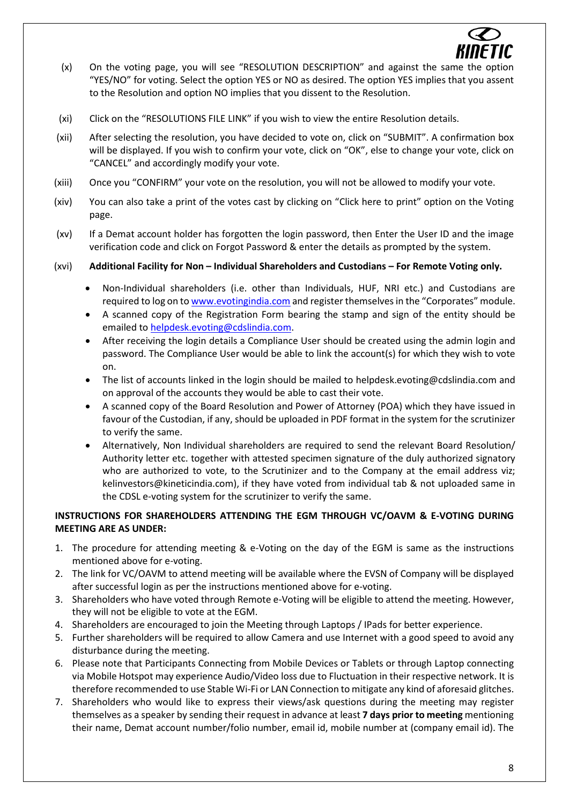

- (x) On the voting page, you will see "RESOLUTION DESCRIPTION" and against the same the option "YES/NO" for voting. Select the option YES or NO as desired. The option YES implies that you assent to the Resolution and option NO implies that you dissent to the Resolution.
- (xi) Click on the "RESOLUTIONS FILE LINK" if you wish to view the entire Resolution details.
- (xii) After selecting the resolution, you have decided to vote on, click on "SUBMIT". A confirmation box will be displayed. If you wish to confirm your vote, click on "OK", else to change your vote, click on "CANCEL" and accordingly modify your vote.
- (xiii) Once you "CONFIRM" your vote on the resolution, you will not be allowed to modify your vote.
- (xiv) You can also take a print of the votes cast by clicking on "Click here to print" option on the Voting page.
- (xv) If a Demat account holder has forgotten the login password, then Enter the User ID and the image verification code and click on Forgot Password & enter the details as prompted by the system.
- (xvi) **Additional Facility for Non – Individual Shareholders and Custodians – For Remote Voting only.**
	- Non-Individual shareholders (i.e. other than Individuals, HUF, NRI etc.) and Custodians are required to log on t[o www.evotingindia.com](http://www.evotingindia.com/) and register themselves in the "Corporates" module.
	- A scanned copy of the Registration Form bearing the stamp and sign of the entity should be emailed t[o helpdesk.evoting@cdslindia.com.](mailto:helpdesk.evoting@cdslindia.com)
	- After receiving the login details a Compliance User should be created using the admin login and password. The Compliance User would be able to link the account(s) for which they wish to vote on.
	- The list of accounts linked in the login should be mailed to helpdesk.evoting@cdslindia.com and on approval of the accounts they would be able to cast their vote.
	- A scanned copy of the Board Resolution and Power of Attorney (POA) which they have issued in favour of the Custodian, if any, should be uploaded in PDF format in the system for the scrutinizer to verify the same.
	- Alternatively, Non Individual shareholders are required to send the relevant Board Resolution/ Authority letter etc. together with attested specimen signature of the duly authorized signatory who are authorized to vote, to the Scrutinizer and to the Company at the email address viz; kelinvestors@kineticindia.com), if they have voted from individual tab & not uploaded same in the CDSL e-voting system for the scrutinizer to verify the same.

# **INSTRUCTIONS FOR SHAREHOLDERS ATTENDING THE EGM THROUGH VC/OAVM & E-VOTING DURING MEETING ARE AS UNDER:**

- 1. The procedure for attending meeting & e-Voting on the day of the EGM is same as the instructions mentioned above for e-voting.
- 2. The link for VC/OAVM to attend meeting will be available where the EVSN of Company will be displayed after successful login as per the instructions mentioned above for e-voting.
- 3. Shareholders who have voted through Remote e-Voting will be eligible to attend the meeting. However, they will not be eligible to vote at the EGM.
- 4. Shareholders are encouraged to join the Meeting through Laptops / IPads for better experience.
- 5. Further shareholders will be required to allow Camera and use Internet with a good speed to avoid any disturbance during the meeting.
- 6. Please note that Participants Connecting from Mobile Devices or Tablets or through Laptop connecting via Mobile Hotspot may experience Audio/Video loss due to Fluctuation in their respective network. It is therefore recommended to use Stable Wi-Fi or LAN Connection to mitigate any kind of aforesaid glitches.
- 7. Shareholders who would like to express their views/ask questions during the meeting may register themselves as a speaker by sending their request in advance at least **7 days prior to meeting** mentioning their name, Demat account number/folio number, email id, mobile number at (company email id). The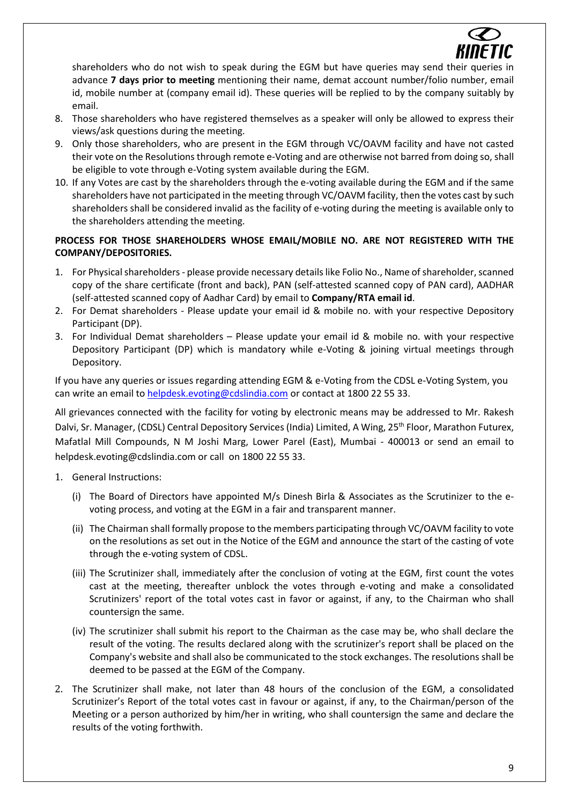

shareholders who do not wish to speak during the EGM but have queries may send their queries in advance **7 days prior to meeting** mentioning their name, demat account number/folio number, email id, mobile number at (company email id). These queries will be replied to by the company suitably by email.

- 8. Those shareholders who have registered themselves as a speaker will only be allowed to express their views/ask questions during the meeting.
- 9. Only those shareholders, who are present in the EGM through VC/OAVM facility and have not casted their vote on the Resolutions through remote e-Voting and are otherwise not barred from doing so, shall be eligible to vote through e-Voting system available during the EGM.
- 10. If any Votes are cast by the shareholders through the e-voting available during the EGM and if the same shareholders have not participated in the meeting through VC/OAVM facility, then the votes cast by such shareholders shall be considered invalid as the facility of e-voting during the meeting is available only to the shareholders attending the meeting.

# **PROCESS FOR THOSE SHAREHOLDERS WHOSE EMAIL/MOBILE NO. ARE NOT REGISTERED WITH THE COMPANY/DEPOSITORIES.**

- 1. For Physical shareholders- please provide necessary details like Folio No., Name of shareholder, scanned copy of the share certificate (front and back), PAN (self-attested scanned copy of PAN card), AADHAR (self-attested scanned copy of Aadhar Card) by email to **Company/RTA email id**.
- 2. For Demat shareholders Please update your email id & mobile no. with your respective Depository Participant (DP).
- 3. For Individual Demat shareholders Please update your email id & mobile no. with your respective Depository Participant (DP) which is mandatory while e-Voting & joining virtual meetings through Depository.

If you have any queries or issues regarding attending EGM & e-Voting from the CDSL e-Voting System, you can write an email to [helpdesk.evoting@cdslindia.com](mailto:helpdesk.evoting@cdslindia.com) or contact at 1800 22 55 33.

All grievances connected with the facility for voting by electronic means may be addressed to Mr. Rakesh Dalvi, Sr. Manager, (CDSL) Central Depository Services (India) Limited, A Wing, 25<sup>th</sup> Floor, Marathon Futurex, Mafatlal Mill Compounds, N M Joshi Marg, Lower Parel (East), Mumbai - 400013 or send an email to [helpdesk.evoting@cdslindia.com](mailto:helpdesk.evoting@cdslindia.com) or call on 1800 22 55 33.

- 1. General Instructions:
	- (i) The Board of Directors have appointed M/s Dinesh Birla & Associates as the Scrutinizer to the evoting process, and voting at the EGM in a fair and transparent manner.
	- (ii) The Chairman shall formally propose to the members participating through VC/OAVM facility to vote on the resolutions as set out in the Notice of the EGM and announce the start of the casting of vote through the e-voting system of CDSL.
	- (iii) The Scrutinizer shall, immediately after the conclusion of voting at the EGM, first count the votes cast at the meeting, thereafter unblock the votes through e-voting and make a consolidated Scrutinizers' report of the total votes cast in favor or against, if any, to the Chairman who shall countersign the same.
	- (iv) The scrutinizer shall submit his report to the Chairman as the case may be, who shall declare the result of the voting. The results declared along with the scrutinizer's report shall be placed on the Company's website and shall also be communicated to the stock exchanges. The resolutions shall be deemed to be passed at the EGM of the Company.
- 2. The Scrutinizer shall make, not later than 48 hours of the conclusion of the EGM, a consolidated Scrutinizer's Report of the total votes cast in favour or against, if any, to the Chairman/person of the Meeting or a person authorized by him/her in writing, who shall countersign the same and declare the results of the voting forthwith.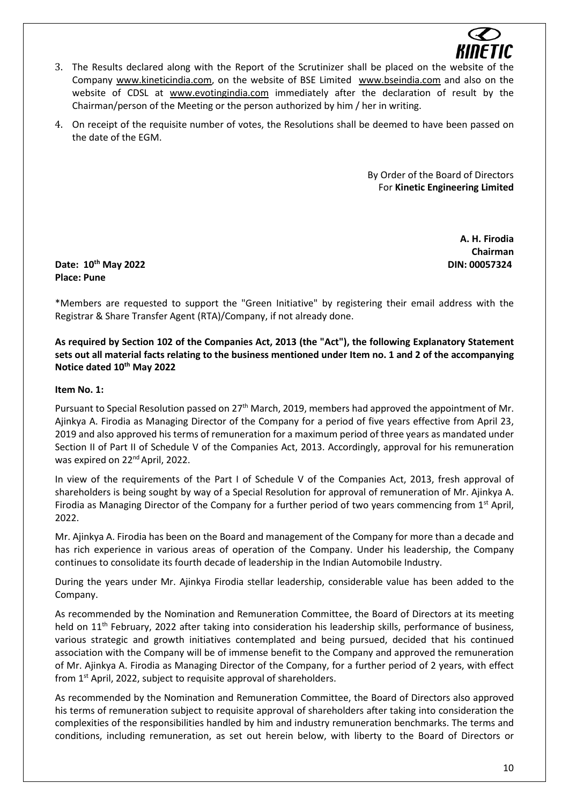

- 3. The Results declared along with the Report of the Scrutinizer shall be placed on the website of the Company [www.kineticindia.com,](http://www.kineticindia.com/) on the website of BSE Limited [www.bseindia.com](http://www.bseindia.com/) and also on the website of CDSL at [www.evotingindia.com](http://www.evotingindia.com/) immediately after the declaration of result by the Chairman/person of the Meeting or the person authorized by him / her in writing.
- 4. On receipt of the requisite number of votes, the Resolutions shall be deemed to have been passed on the date of the EGM.

By Order of the Board of Directors For **Kinetic Engineering Limited**

> **A. H. Firodia Chairman**

**Date: 10th May 2022 DIN: 00057324 Place: Pune**

\*Members are requested to support the "Green Initiative" by registering their email address with the Registrar & Share Transfer Agent (RTA)/Company, if not already done.

**As required by Section 102 of the Companies Act, 2013 (the "Act"), the following Explanatory Statement sets out all material facts relating to the business mentioned under Item no. 1 and 2 of the accompanying Notice dated 10th May 2022**

# **Item No. 1:**

Pursuant to Special Resolution passed on 27<sup>th</sup> March, 2019, members had approved the appointment of Mr. Ajinkya A. Firodia as Managing Director of the Company for a period of five years effective from April 23, 2019 and also approved his terms of remuneration for a maximum period of three years as mandated under Section II of Part II of Schedule V of the Companies Act, 2013. Accordingly, approval for his remuneration was expired on 22<sup>nd</sup> April, 2022.

In view of the requirements of the Part I of Schedule V of the Companies Act, 2013, fresh approval of shareholders is being sought by way of a Special Resolution for approval of remuneration of Mr. Ajinkya A. Firodia as Managing Director of the Company for a further period of two years commencing from  $1<sup>st</sup>$  April, 2022.

Mr. Ajinkya A. Firodia has been on the Board and management of the Company for more than a decade and has rich experience in various areas of operation of the Company. Under his leadership, the Company continues to consolidate its fourth decade of leadership in the Indian Automobile Industry.

During the years under Mr. Ajinkya Firodia stellar leadership, considerable value has been added to the Company.

As recommended by the Nomination and Remuneration Committee, the Board of Directors at its meeting held on 11<sup>th</sup> February, 2022 after taking into consideration his leadership skills, performance of business, various strategic and growth initiatives contemplated and being pursued, decided that his continued association with the Company will be of immense benefit to the Company and approved the remuneration of Mr. Ajinkya A. Firodia as Managing Director of the Company, for a further period of 2 years, with effect from  $1<sup>st</sup>$  April, 2022, subject to requisite approval of shareholders.

As recommended by the Nomination and Remuneration Committee, the Board of Directors also approved his terms of remuneration subject to requisite approval of shareholders after taking into consideration the complexities of the responsibilities handled by him and industry remuneration benchmarks. The terms and conditions, including remuneration, as set out herein below, with liberty to the Board of Directors or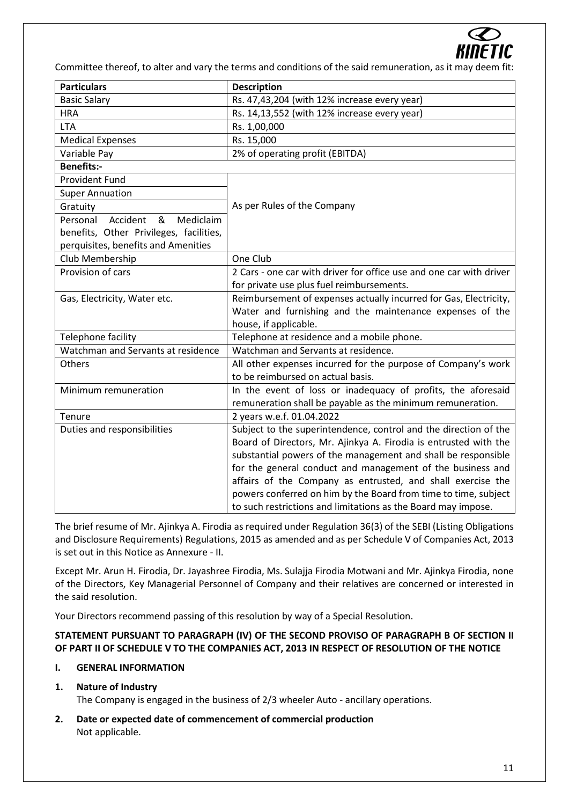

Committee thereof, to alter and vary the terms and conditions of the said remuneration, as it may deem fit:

| <b>Particulars</b>                      | <b>Description</b>                                                  |  |  |
|-----------------------------------------|---------------------------------------------------------------------|--|--|
| <b>Basic Salary</b>                     | Rs. 47,43,204 (with 12% increase every year)                        |  |  |
| <b>HRA</b>                              | Rs. 14,13,552 (with 12% increase every year)                        |  |  |
| <b>LTA</b>                              | Rs. 1,00,000                                                        |  |  |
| <b>Medical Expenses</b>                 | Rs. 15,000                                                          |  |  |
| Variable Pay                            | 2% of operating profit (EBITDA)                                     |  |  |
| <b>Benefits:-</b>                       |                                                                     |  |  |
| <b>Provident Fund</b>                   |                                                                     |  |  |
| <b>Super Annuation</b>                  |                                                                     |  |  |
| Gratuity                                | As per Rules of the Company                                         |  |  |
| Accident<br>Personal<br>&<br>Mediclaim  |                                                                     |  |  |
| benefits, Other Privileges, facilities, |                                                                     |  |  |
| perquisites, benefits and Amenities     |                                                                     |  |  |
| Club Membership                         | One Club                                                            |  |  |
| Provision of cars                       | 2 Cars - one car with driver for office use and one car with driver |  |  |
|                                         | for private use plus fuel reimbursements.                           |  |  |
| Gas, Electricity, Water etc.            | Reimbursement of expenses actually incurred for Gas, Electricity,   |  |  |
|                                         | Water and furnishing and the maintenance expenses of the            |  |  |
|                                         | house, if applicable.                                               |  |  |
| Telephone facility                      | Telephone at residence and a mobile phone.                          |  |  |
| Watchman and Servants at residence      | Watchman and Servants at residence.                                 |  |  |
| Others                                  | All other expenses incurred for the purpose of Company's work       |  |  |
|                                         | to be reimbursed on actual basis.                                   |  |  |
| Minimum remuneration                    | In the event of loss or inadequacy of profits, the aforesaid        |  |  |
|                                         | remuneration shall be payable as the minimum remuneration.          |  |  |
| Tenure                                  | 2 years w.e.f. 01.04.2022                                           |  |  |
| Duties and responsibilities             | Subject to the superintendence, control and the direction of the    |  |  |
|                                         | Board of Directors, Mr. Ajinkya A. Firodia is entrusted with the    |  |  |
|                                         | substantial powers of the management and shall be responsible       |  |  |
|                                         | for the general conduct and management of the business and          |  |  |
|                                         | affairs of the Company as entrusted, and shall exercise the         |  |  |
|                                         | powers conferred on him by the Board from time to time, subject     |  |  |
|                                         | to such restrictions and limitations as the Board may impose.       |  |  |

The brief resume of Mr. Ajinkya A. Firodia as required under Regulation 36(3) of the SEBI (Listing Obligations and Disclosure Requirements) Regulations, 2015 as amended and as per Schedule V of Companies Act, 2013 is set out in this Notice as Annexure - II.

Except Mr. Arun H. Firodia, Dr. Jayashree Firodia, Ms. Sulajja Firodia Motwani and Mr. Ajinkya Firodia, none of the Directors, Key Managerial Personnel of Company and their relatives are concerned or interested in the said resolution.

Your Directors recommend passing of this resolution by way of a Special Resolution.

# **STATEMENT PURSUANT TO PARAGRAPH (IV) OF THE SECOND PROVISO OF PARAGRAPH B OF SECTION II OF PART II OF SCHEDULE V TO THE COMPANIES ACT, 2013 IN RESPECT OF RESOLUTION OF THE NOTICE**

# **I. GENERAL INFORMATION**

# **1. Nature of Industry**

The Company is engaged in the business of 2/3 wheeler Auto - ancillary operations.

**2. Date or expected date of commencement of commercial production** Not applicable.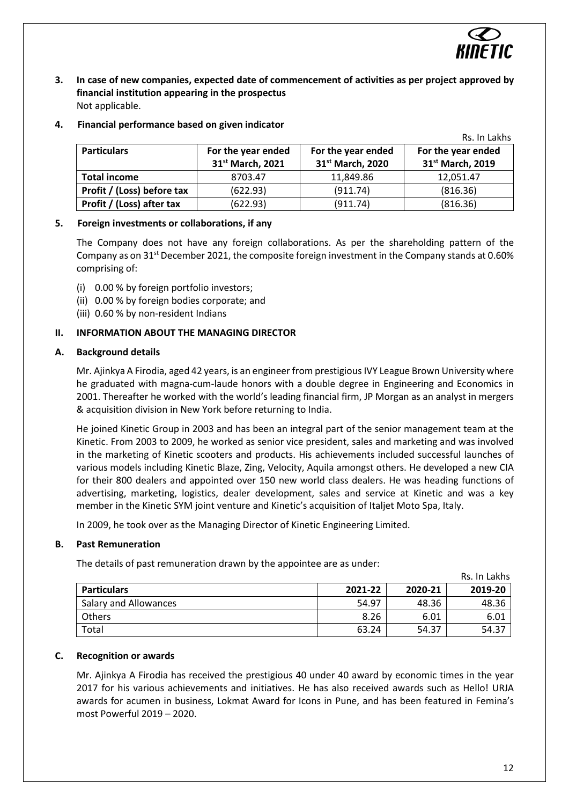

Rs. In Lakhs

- **3. In case of new companies, expected date of commencement of activities as per project approved by financial institution appearing in the prospectus** Not applicable.
- **4. Financial performance based on given indicator**

|                            |                                        |                                                    | NS. III LAKIIS                                     |
|----------------------------|----------------------------------------|----------------------------------------------------|----------------------------------------------------|
| <b>Particulars</b>         | For the year ended<br>31st March, 2021 | For the year ended<br>31 <sup>st</sup> March, 2020 | For the year ended<br>31 <sup>st</sup> March, 2019 |
| <b>Total income</b>        | 8703.47                                | 11,849.86                                          | 12.051.47                                          |
| Profit / (Loss) before tax | (622.93)                               | (911.74)                                           | (816.36)                                           |
| Profit / (Loss) after tax  | (622.93)                               | (911.74)                                           | (816.36)                                           |

# **5. Foreign investments or collaborations, if any**

The Company does not have any foreign collaborations. As per the shareholding pattern of the Company as on 31<sup>st</sup> December 2021, the composite foreign investment in the Company stands at 0.60% comprising of:

- (i) 0.00 % by foreign portfolio investors;
- (ii) 0.00 % by foreign bodies corporate; and
- (iii) 0.60 % by non-resident Indians

# **II. INFORMATION ABOUT THE MANAGING DIRECTOR**

#### **A. Background details**

Mr. Ajinkya A Firodia, aged 42 years, is an engineer from prestigious IVY League Brown University where he graduated with magna-cum-laude honors with a double degree in Engineering and Economics in 2001. Thereafter he worked with the world's leading financial firm, JP Morgan as an analyst in mergers & acquisition division in New York before returning to India.

He joined Kinetic Group in 2003 and has been an integral part of the senior management team at the Kinetic. From 2003 to 2009, he worked as senior vice president, sales and marketing and was involved in the marketing of Kinetic scooters and products. His achievements included successful launches of various models including Kinetic Blaze, Zing, Velocity, Aquila amongst others. He developed a new CIA for their 800 dealers and appointed over 150 new world class dealers. He was heading functions of advertising, marketing, logistics, dealer development, sales and service at Kinetic and was a key member in the Kinetic SYM joint venture and Kinetic's acquisition of Italjet Moto Spa, Italy.

In 2009, he took over as the Managing Director of Kinetic Engineering Limited.

# **B. Past Remuneration**

The details of past remuneration drawn by the appointee are as under:

|                              |         |         | Rs. In Lakhs |
|------------------------------|---------|---------|--------------|
| <b>Particulars</b>           | 2021-22 | 2020-21 | 2019-20      |
| <b>Salary and Allowances</b> | 54.97   | 48.36   | 48.36        |
| Others                       | 8.26    | 6.01    | 6.01         |
| Total                        | 63.24   | 54.37   | 54.37        |

# **C. Recognition or awards**

Mr. Ajinkya A Firodia has received the prestigious 40 under 40 award by economic times in the year 2017 for his various achievements and initiatives. He has also received awards such as Hello! URJA awards for acumen in business, Lokmat Award for Icons in Pune, and has been featured in Femina's most Powerful 2019 – 2020.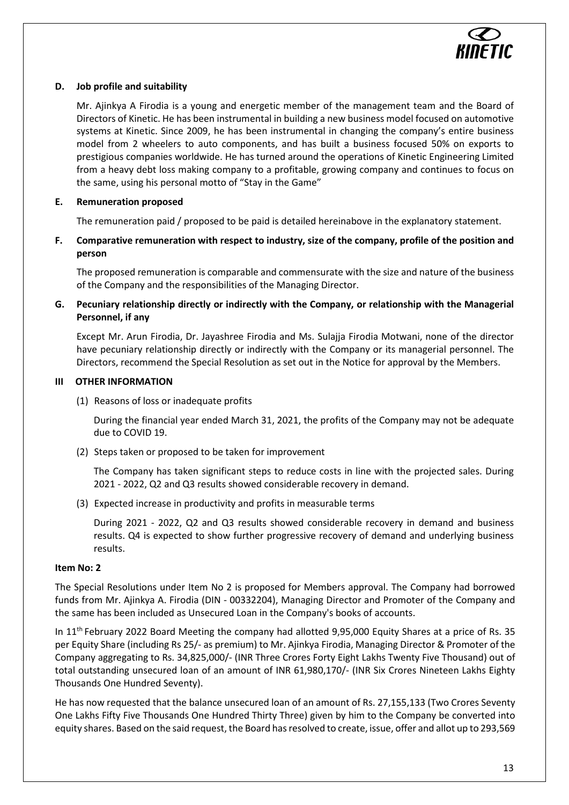

# **D. Job profile and suitability**

Mr. Ajinkya A Firodia is a young and energetic member of the management team and the Board of Directors of Kinetic. He has been instrumental in building a new business model focused on automotive systems at Kinetic. Since 2009, he has been instrumental in changing the company's entire business model from 2 wheelers to auto components, and has built a business focused 50% on exports to prestigious companies worldwide. He has turned around the operations of Kinetic Engineering Limited from a heavy debt loss making company to a profitable, growing company and continues to focus on the same, using his personal motto of "Stay in the Game"

# **E. Remuneration proposed**

The remuneration paid / proposed to be paid is detailed hereinabove in the explanatory statement.

**F. Comparative remuneration with respect to industry, size of the company, profile of the position and person**

The proposed remuneration is comparable and commensurate with the size and nature of the business of the Company and the responsibilities of the Managing Director.

# **G. Pecuniary relationship directly or indirectly with the Company, or relationship with the Managerial Personnel, if any**

Except Mr. Arun Firodia, Dr. Jayashree Firodia and Ms. Sulajja Firodia Motwani, none of the director have pecuniary relationship directly or indirectly with the Company or its managerial personnel. The Directors, recommend the Special Resolution as set out in the Notice for approval by the Members.

# **III OTHER INFORMATION**

(1) Reasons of loss or inadequate profits

During the financial year ended March 31, 2021, the profits of the Company may not be adequate due to COVID 19.

(2) Steps taken or proposed to be taken for improvement

The Company has taken significant steps to reduce costs in line with the projected sales. During 2021 - 2022, Q2 and Q3 results showed considerable recovery in demand.

(3) Expected increase in productivity and profits in measurable terms

During 2021 - 2022, Q2 and Q3 results showed considerable recovery in demand and business results. Q4 is expected to show further progressive recovery of demand and underlying business results.

# **Item No: 2**

The Special Resolutions under Item No 2 is proposed for Members approval. The Company had borrowed funds from Mr. Ajinkya A. Firodia (DIN - 00332204), Managing Director and Promoter of the Company and the same has been included as Unsecured Loan in the Company's books of accounts.

In 11<sup>th</sup> February 2022 Board Meeting the company had allotted 9,95,000 Equity Shares at a price of Rs. 35 per Equity Share (including Rs 25/- as premium) to Mr. Ajinkya Firodia, Managing Director & Promoter of the Company aggregating to Rs. 34,825,000/- (INR Three Crores Forty Eight Lakhs Twenty Five Thousand) out of total outstanding unsecured loan of an amount of INR 61,980,170/- (INR Six Crores Nineteen Lakhs Eighty Thousands One Hundred Seventy).

He has now requested that the balance unsecured loan of an amount of Rs. 27,155,133 (Two Crores Seventy One Lakhs Fifty Five Thousands One Hundred Thirty Three) given by him to the Company be converted into equity shares. Based on the said request, the Board has resolved to create, issue, offer and allot up to 293,569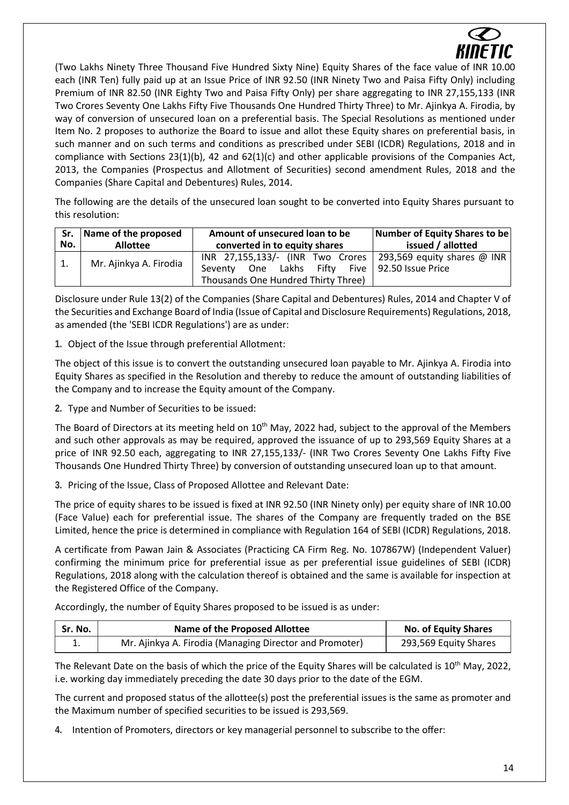

(Two Lakhs Ninety Three Thousand Five Hundred Sixty Nine) Equity Shares of the face value of INR 10.00 each (INR Ten) fully paid up at an Issue Price of INR 92.50 (INR Ninety Two and Paisa Fifty Only) including Premium of INR 82.50 (INR Eighty Two and Paisa Fifty Only) per share aggregating to INR 27,155,133 (INR Two Crores Seventy One Lakhs Fifty Five Thousands One Hundred Thirty Three) to Mr. Ajinkya A. Firodia, by way of conversion of unsecured loan on a preferential basis. The Special Resolutions as mentioned under Item No. 2 proposes to authorize the Board to issue and allot these Equity shares on preferential basis, in such manner and on such terms and conditions as prescribed under SEBI (ICDR) Regulations, 2018 and in compliance with Sections 23(1)(b), 42 and 62(1)(c) and other applicable provisions of the Companies Act, 2013, the Companies (Prospectus and Allotment of Securities) second amendment Rules, 2018 and the Companies (Share Capital and Debentures) Rules, 2014.

The following are the details of the unsecured loan sought to be converted into Equity Shares pursuant to this resolution:

| No. | Sr. Name of the proposed | Amount of unsecured loan to be                                                                                                                            | Number of Equity Shares to be |
|-----|--------------------------|-----------------------------------------------------------------------------------------------------------------------------------------------------------|-------------------------------|
|     | <b>Allottee</b>          | converted in to equity shares                                                                                                                             | issued / allotted             |
|     | Mr. Ajinkya A. Firodia   | INR 27,155,133/- (INR Two Crores   293,569 equity shares @ INR  <br>Seventy One Lakhs Fifty Five 92.50 Issue Price<br>Thousands One Hundred Thirty Three) |                               |

Disclosure under Rule 13(2) of the Companies (Share Capital and Debentures) Rules, 2014 and Chapter V of the Securities and Exchange Board of India (Issue of Capital and Disclosure Requirements) Regulations, 2018, as amended (the 'SEBI ICDR Regulations') are as under:

**1.** Object of the Issue through preferential Allotment:

The object of this issue is to convert the outstanding unsecured loan payable to Mr. Ajinkya A. Firodia into Equity Shares as specified in the Resolution and thereby to reduce the amount of outstanding liabilities of the Company and to increase the Equity amount of the Company.

**2.** Type and Number of Securities to be issued:

The Board of Directors at its meeting held on 10<sup>th</sup> May, 2022 had, subject to the approval of the Members and such other approvals as may be required, approved the issuance of up to 293,569 Equity Shares at a price of INR 92.50 each, aggregating to INR 27,155,133/- (INR Two Crores Seventy One Lakhs Fifty Five Thousands One Hundred Thirty Three) by conversion of outstanding unsecured loan up to that amount.

**3.** Pricing of the Issue, Class of Proposed Allottee and Relevant Date:

The price of equity shares to be issued is fixed at INR 92.50 (INR Ninety only) per equity share of INR 10.00 (Face Value) each for preferential issue. The shares of the Company are frequently traded on the BSE Limited, hence the price is determined in compliance with Regulation 164 of SEBI (ICDR) Regulations, 2018.

A certificate from Pawan Jain & Associates (Practicing CA Firm Reg. No. 107867W) (Independent Valuer) confirming the minimum price for preferential issue as per preferential issue guidelines of SEBI (ICDR) Regulations, 2018 along with the calculation thereof is obtained and the same is available for inspection at the Registered Office of the Company.

Accordingly, the number of Equity Shares proposed to be issued is as under:

| Sr. No. | <b>Name of the Proposed Allottee</b>                    | <b>No. of Equity Shares</b> |
|---------|---------------------------------------------------------|-----------------------------|
| ⊥.      | Mr. Ajinkya A. Firodia (Managing Director and Promoter) | 293,569 Equity Shares       |

The Relevant Date on the basis of which the price of the Equity Shares will be calculated is 10<sup>th</sup> May, 2022, i.e. working day immediately preceding the date 30 days prior to the date of the EGM.

The current and proposed status of the allottee(s) post the preferential issues is the same as promoter and the Maximum number of specified securities to be issued is 293,569.

**4.** Intention of Promoters, directors or key managerial personnel to subscribe to the offer: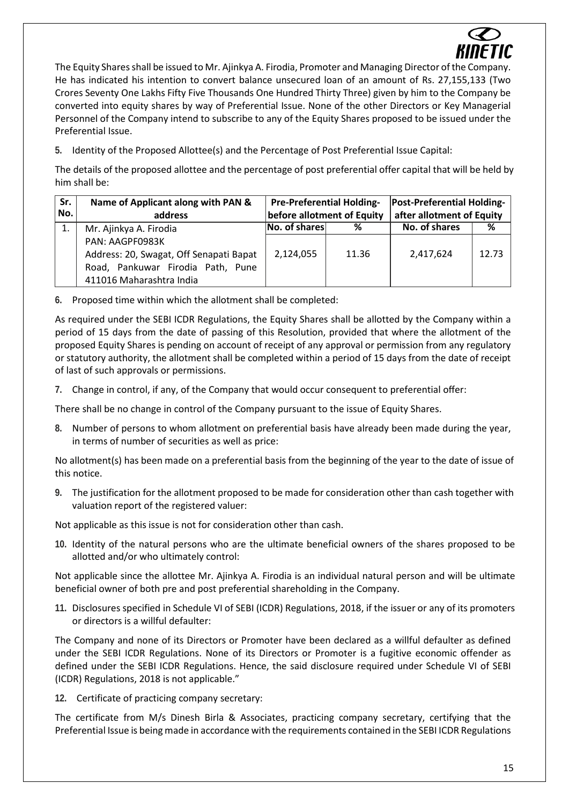

The Equity Shares shall be issued to Mr. Ajinkya A. Firodia, Promoter and Managing Director of the Company. He has indicated his intention to convert balance unsecured loan of an amount of Rs. 27,155,133 (Two Crores Seventy One Lakhs Fifty Five Thousands One Hundred Thirty Three) given by him to the Company be converted into equity shares by way of Preferential Issue. None of the other Directors or Key Managerial Personnel of the Company intend to subscribe to any of the Equity Shares proposed to be issued under the Preferential Issue.

**5.** Identity of the Proposed Allottee(s) and the Percentage of Post Preferential Issue Capital:

The details of the proposed allottee and the percentage of post preferential offer capital that will be held by him shall be:

| Sr. | Name of Applicant along with PAN &      | <b>Pre-Preferential Holding-</b> |       | <b>Post-Preferential Holding-</b> |       |
|-----|-----------------------------------------|----------------------------------|-------|-----------------------------------|-------|
| No. | address                                 | before allotment of Equity       |       | after allotment of Equity         |       |
|     | Mr. Ajinkya A. Firodia                  | No. of shares                    | %     | No. of shares                     | %     |
|     | PAN: AAGPF0983K                         |                                  |       |                                   |       |
|     | Address: 20, Swagat, Off Senapati Bapat | 2,124,055                        | 11.36 | 2,417,624                         | 12.73 |
|     | Road, Pankuwar Firodia Path, Pune       |                                  |       |                                   |       |
|     | 411016 Maharashtra India                |                                  |       |                                   |       |

**6.** Proposed time within which the allotment shall be completed:

As required under the SEBI ICDR Regulations, the Equity Shares shall be allotted by the Company within a period of 15 days from the date of passing of this Resolution, provided that where the allotment of the proposed Equity Shares is pending on account of receipt of any approval or permission from any regulatory or statutory authority, the allotment shall be completed within a period of 15 days from the date of receipt of last of such approvals or permissions.

**7.** Change in control, if any, of the Company that would occur consequent to preferential offer:

There shall be no change in control of the Company pursuant to the issue of Equity Shares.

**8.** Number of persons to whom allotment on preferential basis have already been made during the year, in terms of number of securities as well as price:

No allotment(s) has been made on a preferential basis from the beginning of the year to the date of issue of this notice.

**9.** The justification for the allotment proposed to be made for consideration other than cash together with valuation report of the registered valuer:

Not applicable as this issue is not for consideration other than cash.

**10.** Identity of the natural persons who are the ultimate beneficial owners of the shares proposed to be allotted and/or who ultimately control:

Not applicable since the allottee Mr. Ajinkya A. Firodia is an individual natural person and will be ultimate beneficial owner of both pre and post preferential shareholding in the Company.

**11.** Disclosures specified in Schedule VI of SEBI (ICDR) Regulations, 2018, if the issuer or any of its promoters or directors is a willful defaulter:

The Company and none of its Directors or Promoter have been declared as a willful defaulter as defined under the SEBI ICDR Regulations. None of its Directors or Promoter is a fugitive economic offender as defined under the SEBI ICDR Regulations. Hence, the said disclosure required under Schedule VI of SEBI (ICDR) Regulations, 2018 is not applicable."

**12.** Certificate of practicing company secretary:

The certificate from M/s Dinesh Birla & Associates, practicing company secretary, certifying that the Preferential Issue is being made in accordance with the requirements contained in the SEBI ICDR Regulations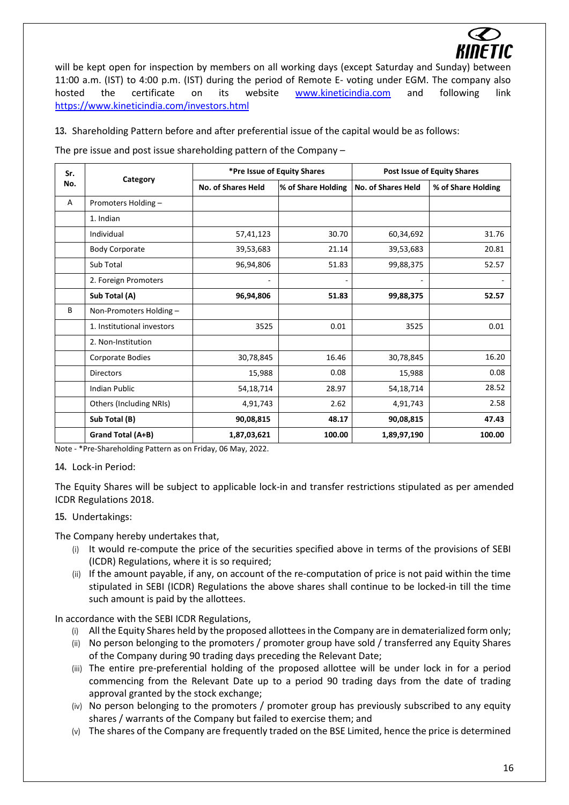

will be kept open for inspection by members on all working days (except Saturday and Sunday) between 11:00 a.m. (IST) to 4:00 p.m. (IST) during the period of Remote E- voting under EGM. The company also hosted the certificate on its website [www.kineticindia.com](http://www.kineticindia.com/) and following link <https://www.kineticindia.com/investors.html>

**13.** Shareholding Pattern before and after preferential issue of the capital would be as follows:

The pre issue and post issue shareholding pattern of the Company –

| Sr. | Category                   | *Pre Issue of Equity Shares |                    | <b>Post Issue of Equity Shares</b> |                    |
|-----|----------------------------|-----------------------------|--------------------|------------------------------------|--------------------|
| No. |                            | No. of Shares Held          | % of Share Holding | No. of Shares Held                 | % of Share Holding |
| Α   | Promoters Holding-         |                             |                    |                                    |                    |
|     | 1. Indian                  |                             |                    |                                    |                    |
|     | Individual                 | 57,41,123                   | 30.70              | 60,34,692                          | 31.76              |
|     | <b>Body Corporate</b>      | 39,53,683                   | 21.14              | 39,53,683                          | 20.81              |
|     | Sub Total                  | 96,94,806                   | 51.83              | 99,88,375                          | 52.57              |
|     | 2. Foreign Promoters       |                             |                    | -                                  |                    |
|     | Sub Total (A)              | 96,94,806                   | 51.83              | 99,88,375                          | 52.57              |
| B   | Non-Promoters Holding-     |                             |                    |                                    |                    |
|     | 1. Institutional investors | 3525                        | 0.01               | 3525                               | 0.01               |
|     | 2. Non-Institution         |                             |                    |                                    |                    |
|     | Corporate Bodies           | 30,78,845                   | 16.46              | 30,78,845                          | 16.20              |
|     | <b>Directors</b>           | 15,988                      | 0.08               | 15,988                             | 0.08               |
|     | <b>Indian Public</b>       | 54,18,714                   | 28.97              | 54,18,714                          | 28.52              |
|     | Others (Including NRIs)    | 4,91,743                    | 2.62               | 4,91,743                           | 2.58               |
|     | Sub Total (B)              | 90,08,815                   | 48.17              | 90,08,815                          | 47.43              |
|     | Grand Total (A+B)          | 1,87,03,621                 | 100.00             | 1,89,97,190                        | 100.00             |

Note - \*Pre-Shareholding Pattern as on Friday, 06 May, 2022.

**14.** Lock-in Period:

The Equity Shares will be subject to applicable lock-in and transfer restrictions stipulated as per amended ICDR Regulations 2018.

# **15.** Undertakings:

The Company hereby undertakes that,

- (i) It would re-compute the price of the securities specified above in terms of the provisions of SEBI (ICDR) Regulations, where it is so required;
- (ii) If the amount payable, if any, on account of the re-computation of price is not paid within the time stipulated in SEBI (ICDR) Regulations the above shares shall continue to be locked-in till the time such amount is paid by the allottees.

In accordance with the SEBI ICDR Regulations,

- (i) All the Equity Shares held by the proposed allottees in the Company are in dematerialized form only;
- (ii) No person belonging to the promoters / promoter group have sold / transferred any Equity Shares of the Company during 90 trading days preceding the Relevant Date;
- (iii) The entire pre-preferential holding of the proposed allottee will be under lock in for a period commencing from the Relevant Date up to a period 90 trading days from the date of trading approval granted by the stock exchange;
- (iv) No person belonging to the promoters / promoter group has previously subscribed to any equity shares / warrants of the Company but failed to exercise them; and
- (v) The shares of the Company are frequently traded on the BSE Limited, hence the price is determined